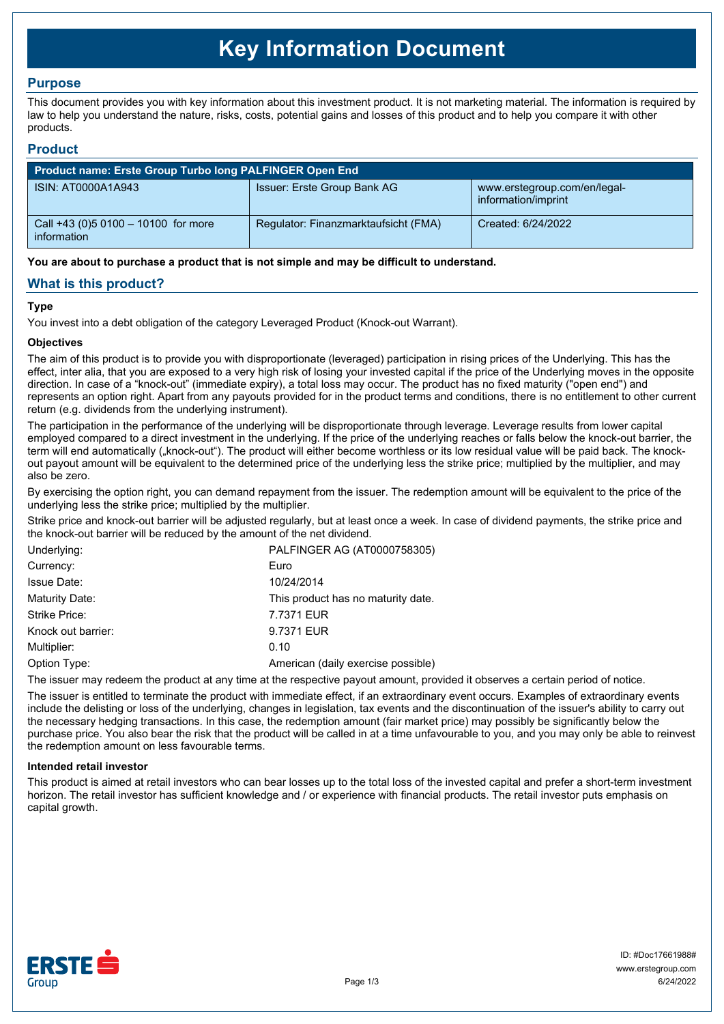# **Key Information Document**

# **Purpose**

This document provides you with key information about this investment product. It is not marketing material. The information is required by law to help you understand the nature, risks, costs, potential gains and losses of this product and to help you compare it with other products.

## **Product**

| Product name: Erste Group Turbo long PALFINGER Open End |                                      |                                                     |  |  |
|---------------------------------------------------------|--------------------------------------|-----------------------------------------------------|--|--|
| ISIN: AT0000A1A943                                      | Issuer: Erste Group Bank AG          | www.erstegroup.com/en/legal-<br>information/imprint |  |  |
| Call +43 (0) 5 0100 - 10100 for more<br>information     | Regulator: Finanzmarktaufsicht (FMA) | Created: 6/24/2022                                  |  |  |

**You are about to purchase a product that is not simple and may be difficult to understand.**

# **What is this product?**

## **Type**

You invest into a debt obligation of the category Leveraged Product (Knock-out Warrant).

## **Objectives**

The aim of this product is to provide you with disproportionate (leveraged) participation in rising prices of the Underlying. This has the effect, inter alia, that you are exposed to a very high risk of losing your invested capital if the price of the Underlying moves in the opposite direction. In case of a "knock-out" (immediate expiry), a total loss may occur. The product has no fixed maturity ("open end") and represents an option right. Apart from any payouts provided for in the product terms and conditions, there is no entitlement to other current return (e.g. dividends from the underlying instrument).

The participation in the performance of the underlying will be disproportionate through leverage. Leverage results from lower capital employed compared to a direct investment in the underlying. If the price of the underlying reaches or falls below the knock-out barrier, the term will end automatically ("knock-out"). The product will either become worthless or its low residual value will be paid back. The knockout payout amount will be equivalent to the determined price of the underlying less the strike price; multiplied by the multiplier, and may also be zero.

By exercising the option right, you can demand repayment from the issuer. The redemption amount will be equivalent to the price of the underlying less the strike price; multiplied by the multiplier.

Strike price and knock-out barrier will be adjusted regularly, but at least once a week. In case of dividend payments, the strike price and the knock-out barrier will be reduced by the amount of the net dividend.

| PALFINGER AG (AT0000758305)        |
|------------------------------------|
| Euro                               |
| 10/24/2014                         |
| This product has no maturity date. |
| 7.7371 EUR                         |
| 9.7371 EUR                         |
| 0.10                               |
| American (daily exercise possible) |
|                                    |

The issuer may redeem the product at any time at the respective payout amount, provided it observes a certain period of notice.

The issuer is entitled to terminate the product with immediate effect, if an extraordinary event occurs. Examples of extraordinary events include the delisting or loss of the underlying, changes in legislation, tax events and the discontinuation of the issuer's ability to carry out the necessary hedging transactions. In this case, the redemption amount (fair market price) may possibly be significantly below the purchase price. You also bear the risk that the product will be called in at a time unfavourable to you, and you may only be able to reinvest the redemption amount on less favourable terms.

### **Intended retail investor**

This product is aimed at retail investors who can bear losses up to the total loss of the invested capital and prefer a short-term investment horizon. The retail investor has sufficient knowledge and / or experience with financial products. The retail investor puts emphasis on capital growth.

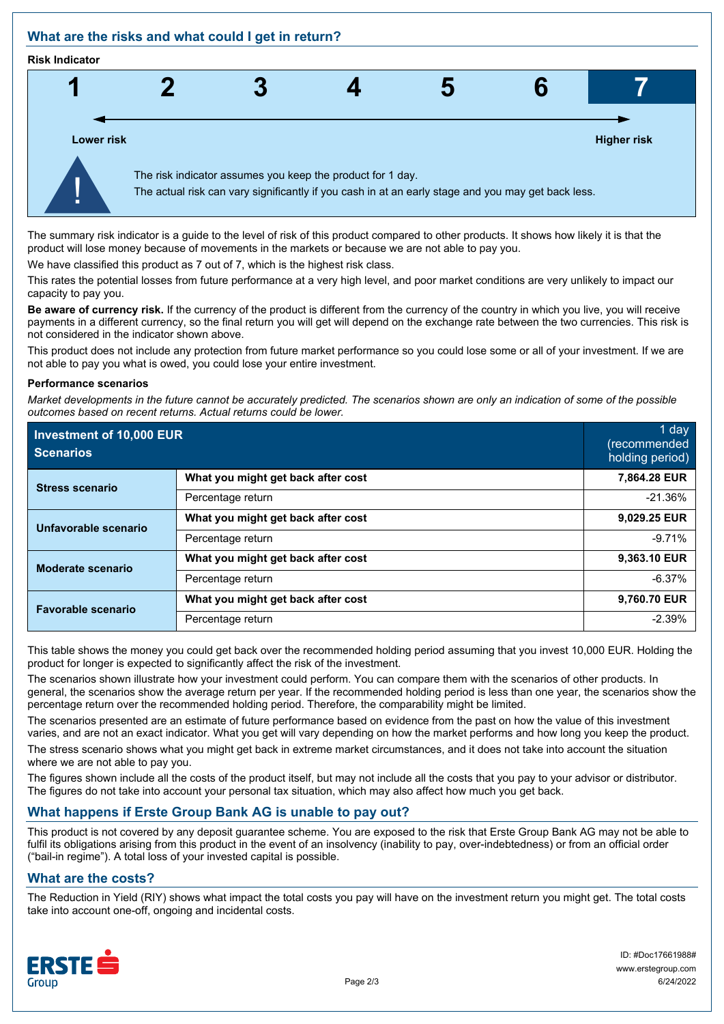# **What are the risks and what could I get in return?**

#### **Risk Indicator**



The summary risk indicator is a guide to the level of risk of this product compared to other products. It shows how likely it is that the product will lose money because of movements in the markets or because we are not able to pay you.

We have classified this product as 7 out of 7, which is the highest risk class.

This rates the potential losses from future performance at a very high level, and poor market conditions are very unlikely to impact our capacity to pay you.

**Be aware of currency risk.** If the currency of the product is different from the currency of the country in which you live, you will receive payments in a different currency, so the final return you will get will depend on the exchange rate between the two currencies. This risk is not considered in the indicator shown above.

This product does not include any protection from future market performance so you could lose some or all of your investment. If we are not able to pay you what is owed, you could lose your entire investment.

#### **Performance scenarios**

*Market developments in the future cannot be accurately predicted. The scenarios shown are only an indication of some of the possible outcomes based on recent returns. Actual returns could be lower.*

| Investment of 10,000 EUR<br><b>Scenarios</b> |                                    | 1 day<br>(recommended<br>holding period) |
|----------------------------------------------|------------------------------------|------------------------------------------|
| <b>Stress scenario</b>                       | What you might get back after cost | 7,864.28 EUR                             |
|                                              | Percentage return                  | $-21.36%$                                |
| Unfavorable scenario                         | What you might get back after cost | 9,029.25 EUR                             |
|                                              | Percentage return                  | $-9.71%$                                 |
| <b>Moderate scenario</b>                     | What you might get back after cost | 9,363.10 EUR                             |
|                                              | Percentage return                  | $-6.37%$                                 |
| <b>Favorable scenario</b>                    | What you might get back after cost | 9,760.70 EUR                             |
|                                              | Percentage return                  | $-2.39%$                                 |

This table shows the money you could get back over the recommended holding period assuming that you invest 10,000 EUR. Holding the product for longer is expected to significantly affect the risk of the investment.

The scenarios shown illustrate how your investment could perform. You can compare them with the scenarios of other products. In general, the scenarios show the average return per year. If the recommended holding period is less than one year, the scenarios show the percentage return over the recommended holding period. Therefore, the comparability might be limited.

The scenarios presented are an estimate of future performance based on evidence from the past on how the value of this investment varies, and are not an exact indicator. What you get will vary depending on how the market performs and how long you keep the product.

The stress scenario shows what you might get back in extreme market circumstances, and it does not take into account the situation where we are not able to pay you.

The figures shown include all the costs of the product itself, but may not include all the costs that you pay to your advisor or distributor. The figures do not take into account your personal tax situation, which may also affect how much you get back.

# **What happens if Erste Group Bank AG is unable to pay out?**

This product is not covered by any deposit guarantee scheme. You are exposed to the risk that Erste Group Bank AG may not be able to fulfil its obligations arising from this product in the event of an insolvency (inability to pay, over-indebtedness) or from an official order ("bail-in regime"). A total loss of your invested capital is possible.

# **What are the costs?**

The Reduction in Yield (RIY) shows what impact the total costs you pay will have on the investment return you might get. The total costs take into account one-off, ongoing and incidental costs.